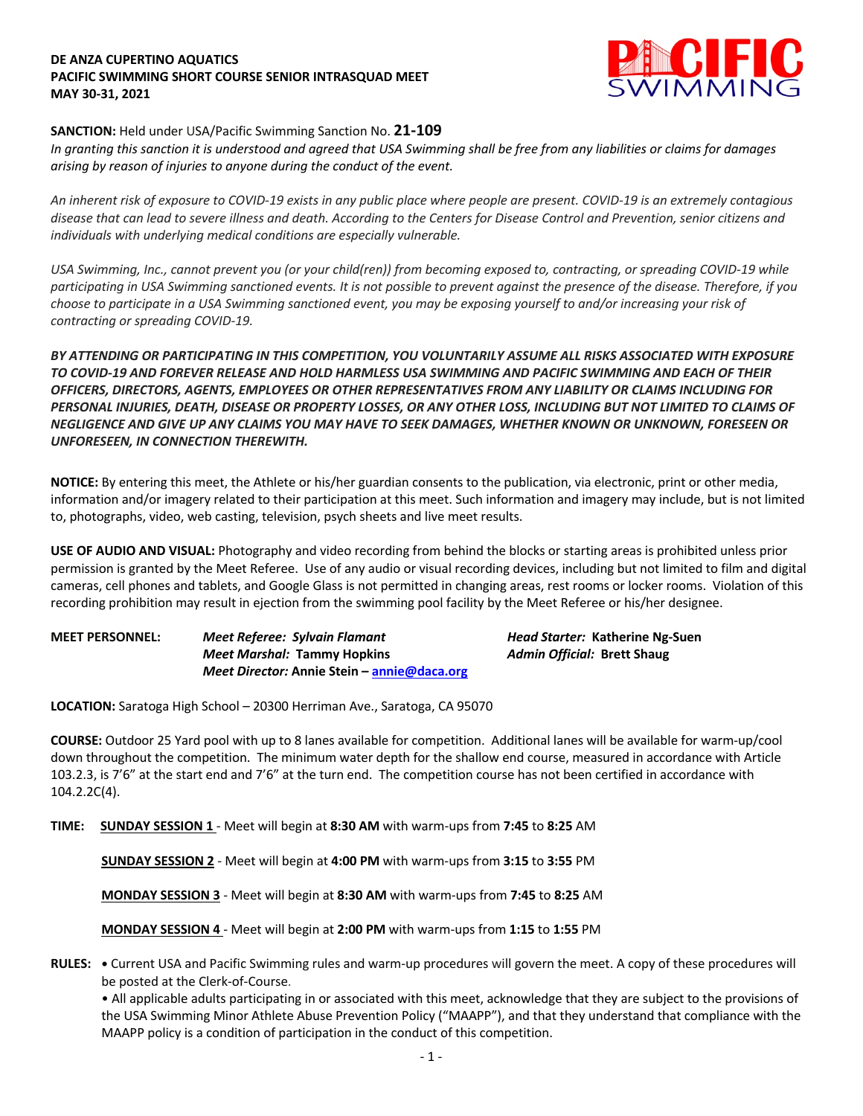### **DE ANZA CUPERTINO AQUATICS PACIFIC SWIMMING SHORT COURSE SENIOR INTRASQUAD MEET MAY 30-31, 2021**



# **SANCTION:** Held under USA/Pacific Swimming Sanction No. **21-109**

*In granting this sanction it is understood and agreed that USA Swimming shall be free from any liabilities or claims for damages arising by reason of injuries to anyone during the conduct of the event.* 

*An inherent risk of exposure to COVID-19 exists in any public place where people are present. COVID-19 is an extremely contagious disease that can lead to severe illness and death. According to the Centers for Disease Control and Prevention, senior citizens and individuals with underlying medical conditions are especially vulnerable.*

*USA Swimming, Inc., cannot prevent you (or your child(ren)) from becoming exposed to, contracting, or spreading COVID-19 while participating in USA Swimming sanctioned events. It is not possible to prevent against the presence of the disease. Therefore, if you choose to participate in a USA Swimming sanctioned event, you may be exposing yourself to and/or increasing your risk of contracting or spreading COVID-19.*

*BY ATTENDING OR PARTICIPATING IN THIS COMPETITION, YOU VOLUNTARILY ASSUME ALL RISKS ASSOCIATED WITH EXPOSURE TO COVID-19 AND FOREVER RELEASE AND HOLD HARMLESS USA SWIMMING AND PACIFIC SWIMMING AND EACH OF THEIR OFFICERS, DIRECTORS, AGENTS, EMPLOYEES OR OTHER REPRESENTATIVES FROM ANY LIABILITY OR CLAIMS INCLUDING FOR PERSONAL INJURIES, DEATH, DISEASE OR PROPERTY LOSSES, OR ANY OTHER LOSS, INCLUDING BUT NOT LIMITED TO CLAIMS OF NEGLIGENCE AND GIVE UP ANY CLAIMS YOU MAY HAVE TO SEEK DAMAGES, WHETHER KNOWN OR UNKNOWN, FORESEEN OR UNFORESEEN, IN CONNECTION THEREWITH.*

**NOTICE:** By entering this meet, the Athlete or his/her guardian consents to the publication, via electronic, print or other media, information and/or imagery related to their participation at this meet. Such information and imagery may include, but is not limited to, photographs, video, web casting, television, psych sheets and live meet results.

**USE OF AUDIO AND VISUAL:** Photography and video recording from behind the blocks or starting areas is prohibited unless prior permission is granted by the Meet Referee. Use of any audio or visual recording devices, including but not limited to film and digital cameras, cell phones and tablets, and Google Glass is not permitted in changing areas, rest rooms or locker rooms. Violation of this recording prohibition may result in ejection from the swimming pool facility by the Meet Referee or his/her designee.

| <b>MEET PERSONNEL:</b> | Meet Referee: Sylvain Flamant               | Head Starter: Katherine Ng-Suen    |  |  |  |
|------------------------|---------------------------------------------|------------------------------------|--|--|--|
|                        | <b>Meet Marshal: Tammy Hopkins</b>          | <b>Admin Official: Brett Shaug</b> |  |  |  |
|                        | Meet Director: Annie Stein – annie@daca.org |                                    |  |  |  |

**LOCATION:** Saratoga High School – 20300 Herriman Ave., Saratoga, CA 95070

**COURSE:** Outdoor 25 Yard pool with up to 8 lanes available for competition. Additional lanes will be available for warm-up/cool down throughout the competition. The minimum water depth for the shallow end course, measured in accordance with Article 103.2.3, is 7'6" at the start end and 7'6" at the turn end. The competition course has not been certified in accordance with 104.2.2C(4).

**TIME: SUNDAY SESSION 1** - Meet will begin at **8:30 AM** with warm-ups from **7:45** to **8:25** AM

**SUNDAY SESSION 2** - Meet will begin at **4:00 PM** with warm-ups from **3:15** to **3:55** PM

**MONDAY SESSION 3** - Meet will begin at **8:30 AM** with warm-ups from **7:45** to **8:25** AM

**MONDAY SESSION 4** - Meet will begin at **2:00 PM** with warm-ups from **1:15** to **1:55** PM

**RULES: •** Current USA and Pacific Swimming rules and warm-up procedures will govern the meet. A copy of these procedures will be posted at the Clerk-of-Course.

• All applicable adults participating in or associated with this meet, acknowledge that they are subject to the provisions of the USA Swimming Minor Athlete Abuse Prevention Policy ("MAAPP"), and that they understand that compliance with the MAAPP policy is a condition of participation in the conduct of this competition.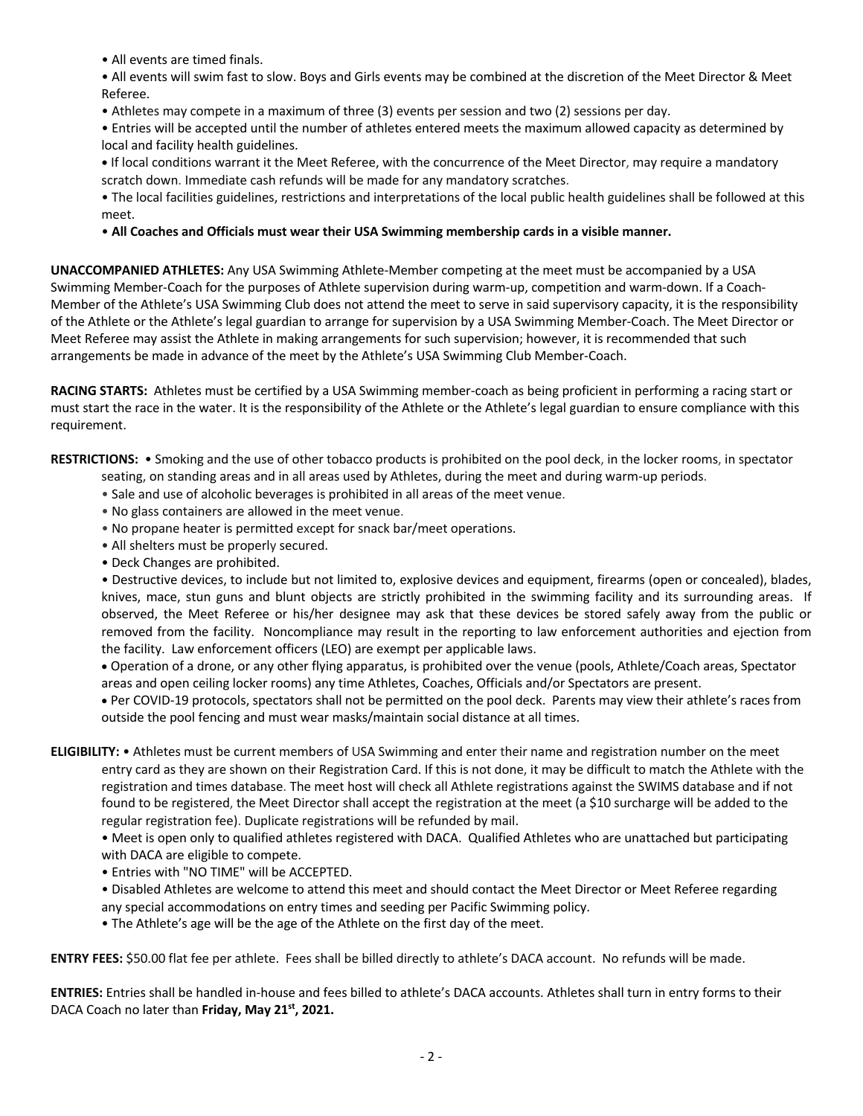• All events are timed finals.

• All events will swim fast to slow. Boys and Girls events may be combined at the discretion of the Meet Director & Meet Referee.

• Athletes may compete in a maximum of three (3) events per session and two (2) sessions per day.

• Entries will be accepted until the number of athletes entered meets the maximum allowed capacity as determined by local and facility health guidelines.

**•** If local conditions warrant it the Meet Referee, with the concurrence of the Meet Director, may require a mandatory scratch down. Immediate cash refunds will be made for any mandatory scratches.

• The local facilities guidelines, restrictions and interpretations of the local public health guidelines shall be followed at this meet.

• **All Coaches and Officials must wear their USA Swimming membership cards in a visible manner.** 

**UNACCOMPANIED ATHLETES:** Any USA Swimming Athlete-Member competing at the meet must be accompanied by a USA Swimming Member-Coach for the purposes of Athlete supervision during warm-up, competition and warm-down. If a Coach-Member of the Athlete's USA Swimming Club does not attend the meet to serve in said supervisory capacity, it is the responsibility of the Athlete or the Athlete's legal guardian to arrange for supervision by a USA Swimming Member-Coach. The Meet Director or Meet Referee may assist the Athlete in making arrangements for such supervision; however, it is recommended that such arrangements be made in advance of the meet by the Athlete's USA Swimming Club Member-Coach.

**RACING STARTS:** Athletes must be certified by a USA Swimming member-coach as being proficient in performing a racing start or must start the race in the water. It is the responsibility of the Athlete or the Athlete's legal guardian to ensure compliance with this requirement.

**RESTRICTIONS:** • Smoking and the use of other tobacco products is prohibited on the pool deck, in the locker rooms, in spectator seating, on standing areas and in all areas used by Athletes, during the meet and during warm-up periods.

- Sale and use of alcoholic beverages is prohibited in all areas of the meet venue.
- No glass containers are allowed in the meet venue.
- No propane heater is permitted except for snack bar/meet operations.
- All shelters must be properly secured.
- Deck Changes are prohibited.

• Destructive devices, to include but not limited to, explosive devices and equipment, firearms (open or concealed), blades, knives, mace, stun guns and blunt objects are strictly prohibited in the swimming facility and its surrounding areas. If observed, the Meet Referee or his/her designee may ask that these devices be stored safely away from the public or removed from the facility. Noncompliance may result in the reporting to law enforcement authorities and ejection from the facility. Law enforcement officers (LEO) are exempt per applicable laws.

• Operation of a drone, or any other flying apparatus, is prohibited over the venue (pools, Athlete/Coach areas, Spectator areas and open ceiling locker rooms) any time Athletes, Coaches, Officials and/or Spectators are present.

• Per COVID-19 protocols, spectators shall not be permitted on the pool deck. Parents may view their athlete's races from outside the pool fencing and must wear masks/maintain social distance at all times.

**ELIGIBILITY:** • Athletes must be current members of USA Swimming and enter their name and registration number on the meet entry card as they are shown on their Registration Card. If this is not done, it may be difficult to match the Athlete with the registration and times database. The meet host will check all Athlete registrations against the SWIMS database and if not found to be registered, the Meet Director shall accept the registration at the meet (a \$10 surcharge will be added to the regular registration fee). Duplicate registrations will be refunded by mail.

• Meet is open only to qualified athletes registered with DACA. Qualified Athletes who are unattached but participating with DACA are eligible to compete.

- Entries with "NO TIME" will be ACCEPTED.
- Disabled Athletes are welcome to attend this meet and should contact the Meet Director or Meet Referee regarding any special accommodations on entry times and seeding per Pacific Swimming policy.
- The Athlete's age will be the age of the Athlete on the first day of the meet.

**ENTRY FEES:** \$50.00 flat fee per athlete. Fees shall be billed directly to athlete's DACA account. No refunds will be made.

**ENTRIES:** Entries shall be handled in-house and fees billed to athlete's DACA accounts. Athletes shall turn in entry forms to their DACA Coach no later than **Friday, May 21st, 2021.**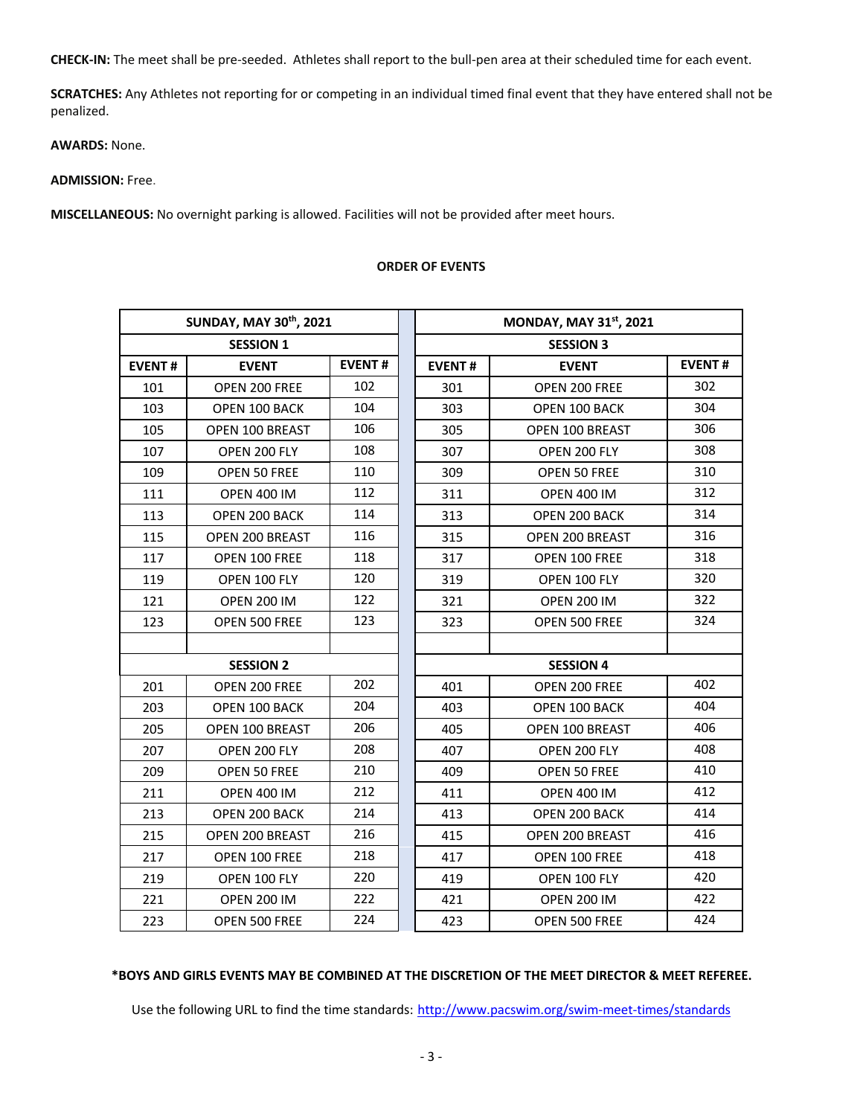**CHECK-IN:** The meet shall be pre-seeded. Athletes shall report to the bull-pen area at their scheduled time for each event.

**SCRATCHES:** Any Athletes not reporting for or competing in an individual timed final event that they have entered shall not be penalized.

**AWARDS:** None.

# **ADMISSION:** Free.

**MISCELLANEOUS:** No overnight parking is allowed. Facilities will not be provided after meet hours.

| SUNDAY, MAY 30th, 2021 |                      |               | MONDAY, MAY 31st, 2021 |                        |               |  |  |  |  |
|------------------------|----------------------|---------------|------------------------|------------------------|---------------|--|--|--|--|
| <b>SESSION 1</b>       |                      |               | <b>SESSION 3</b>       |                        |               |  |  |  |  |
| <b>EVENT#</b>          | <b>EVENT</b>         | <b>EVENT#</b> | <b>EVENT#</b>          | <b>EVENT</b>           | <b>EVENT#</b> |  |  |  |  |
| 101                    | OPEN 200 FREE        | 102           | 301                    | OPEN 200 FREE          | 302           |  |  |  |  |
| 103                    | OPEN 100 BACK        | 104           | 303                    | OPEN 100 BACK          | 304           |  |  |  |  |
| 105                    | OPEN 100 BREAST      | 106           | 305                    | OPEN 100 BREAST        | 306           |  |  |  |  |
| 107                    | OPEN 200 FLY         | 108           | 307                    | OPEN 200 FLY           | 308           |  |  |  |  |
| 109                    | OPEN 50 FREE         | 110           | 309                    | OPEN 50 FREE           | 310           |  |  |  |  |
| 111                    | <b>OPEN 400 IM</b>   | 112           | 311                    | <b>OPEN 400 IM</b>     | 312           |  |  |  |  |
| 113                    | <b>OPEN 200 BACK</b> | 114           | 313                    | <b>OPEN 200 BACK</b>   | 314           |  |  |  |  |
| 115                    | OPEN 200 BREAST      | 116           | 315                    | OPEN 200 BREAST        | 316           |  |  |  |  |
| 117                    | OPEN 100 FREE        | 118           | 317                    | OPEN 100 FREE          | 318           |  |  |  |  |
| 119                    | OPEN 100 FLY         | 120           | 319                    | OPEN 100 FLY           | 320           |  |  |  |  |
| 121                    | <b>OPEN 200 IM</b>   | 122           | 321                    | <b>OPEN 200 IM</b>     | 322           |  |  |  |  |
| 123                    | OPEN 500 FREE        | 123           | 323                    | OPEN 500 FREE          | 324           |  |  |  |  |
|                        |                      |               |                        |                        |               |  |  |  |  |
| <b>SESSION 2</b>       |                      |               | <b>SESSION 4</b>       |                        |               |  |  |  |  |
| 201                    | OPEN 200 FREE        | 202           | 401                    | OPEN 200 FREE          | 402           |  |  |  |  |
| 203                    | OPEN 100 BACK        | 204           | 403                    | OPEN 100 BACK          | 404           |  |  |  |  |
| 205                    | OPEN 100 BREAST      | 206           | 405                    | <b>OPEN 100 BREAST</b> | 406           |  |  |  |  |
| 207                    | OPEN 200 FLY         | 208           | 407                    | OPEN 200 FLY           | 408           |  |  |  |  |
| 209                    | OPEN 50 FREE         | 210           | 409                    | OPEN 50 FREE           | 410           |  |  |  |  |
| 211                    | <b>OPEN 400 IM</b>   | 212           | 411                    | <b>OPEN 400 IM</b>     | 412           |  |  |  |  |
| 213                    | OPEN 200 BACK        | 214           | 413                    | OPEN 200 BACK          | 414           |  |  |  |  |
| 215                    | OPEN 200 BREAST      | 216           | 415                    | OPEN 200 BREAST        | 416           |  |  |  |  |
| 217                    | <b>OPEN 100 FREE</b> | 218           | 417                    | OPEN 100 FREE          | 418           |  |  |  |  |
| 219                    | OPEN 100 FLY         | 220           | 419                    | OPEN 100 FLY           | 420           |  |  |  |  |
| 221                    | <b>OPEN 200 IM</b>   | 222           | 421                    | <b>OPEN 200 IM</b>     | 422           |  |  |  |  |
| 223                    | <b>OPEN 500 FREE</b> | 224           | 423                    | <b>OPEN 500 FREE</b>   | 424           |  |  |  |  |

#### **ORDER OF EVENTS**

# **\*BOYS AND GIRLS EVENTS MAY BE COMBINED AT THE DISCRETION OF THE MEET DIRECTOR & MEET REFEREE.**

Use the following URL to find the time standards: http://www.pacswim.org/swim-meet-times/standards